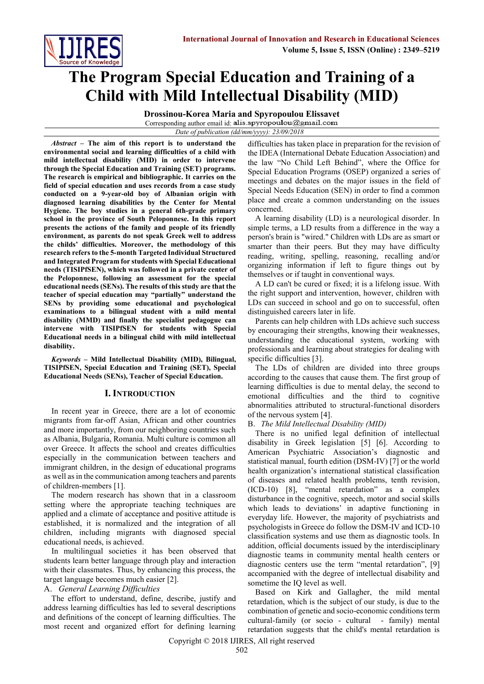

# **The Program Special Education and Training of a Child with Mild Intellectual Disability (MID)**

**Drossinou-Korea Maria and Spyropoulou Elissavet** Corresponding author email id. alis.spyropoulou@gmail.com

*Date of publication (dd/mm/yyyy): 23/09/2018*

*Abstract –* **The aim of this report is to understand the environmental social and learning difficulties of a child with mild intellectual disability (MID) in order to intervene through the Special Education and Training (SET) programs. The research is empirical and bibliographic. It carries on the field of special education and uses records from a case study conducted on a 9-year-old boy of Albanian origin with diagnosed learning disabilities by the Center for Mental Hygiene. The boy studies in a general 6th-grade primary school in the province of South Peloponnese. In this report presents the actions of the family and people of its friendly environment, as parents do not speak Greek well to address the childs' difficulties. Moreover, the methodology of this research refers to the 5-month Targeted Individual Structured and Integrated Program for students with Special Educational needs (TISIPfSEN), which was followed in a private center of the Peloponnese, following an assessment for the special educational needs (SENs). The results of this study are that the teacher of special education may "partially" understand the SENs by providing some educational and psychological examinations to a bilingual student with a mild mental disability (MMD) and finally the specialist pedagogue can intervene with TISIPfSEN for students with Special Educational needs in a bilingual child with mild intellectual disability.**

*Keywords* **– Mild Intellectual Disability (MID), Bilingual, TISIPfSEN, Special Education and Training (SET), Special Educational Needs (SENs), Teacher of Special Education.**

## **I. INTRODUCTION**

In recent year in Greece, there are a lot of economic migrants from far-off Asian, African and other countries and more importantly, from our neighboring countries such as Albania, Bulgaria, Romania. Multi culture is common all over Greece. It affects the school and creates difficulties especially in the communication between teachers and immigrant children, in the design of educational programs as well as in the communication among teachers and parents of children-members [1].

The modern research has shown that in a classroom setting where the appropriate teaching techniques are applied and a climate of acceptance and positive attitude is established, it is normalized and the integration of all children, including migrants with diagnosed special educational needs, is achieved.

In multilingual societies it has been observed that students learn better language through play and interaction with their classmates. Thus, by enhancing this process, the target language becomes much easier [2].

#### A. *General Learning Difficulties*

The effort to understand, define, describe, justify and address learning difficulties has led to several descriptions and definitions of the concept of learning difficulties. The most recent and organized effort for defining learning difficulties has taken place in preparation for the revision of the IDEA (International Debate Education Association) and the law "No Child Left Behind", where the Office for Special Education Programs (OSEP) organized a series of meetings and debates on the major issues in the field of Special Needs Education (SEN) in order to find a common place and create a common understanding on the issues concerned.

A learning disability (LD) is a neurological disorder. In simple terms, a LD results from a difference in the way a person's brain is "wired." Children with LDs are as smart or smarter than their peers. But they may have difficulty reading, writing, spelling, reasoning, recalling and/or organizing information if left to figure things out by themselves or if taught in conventional ways.

A LD can't be cured or fixed; it is a lifelong issue. With the right support and intervention, however, children with LDs can succeed in school and go on to successful, often distinguished careers later in life.

Parents can help children with LDs achieve such success by encouraging their strengths, knowing their weaknesses, understanding the educational system, working with professionals and learning about strategies for dealing with specific difficulties [3].

The LDs of children are divided into three groups according to the causes that cause them. The first group of learning difficulties is due to mental delay, the second to emotional difficulties and the third to cognitive abnormalities attributed to structural-functional disorders of the nervous system [4].

## B. *The Mild Intellectual Disability (MID)*

There is no unified legal definition of intellectual disability in Greek legislation [5] [6]. According to American Psychiatric Association's diagnostic and statistical manual, fourth edition (DSM-IV) [7] or the world health organization's international statistical classification of diseases and related health problems, tenth revision, (ICD-10) [8], "mental retardation" as a complex disturbance in the cognitive, speech, motor and social skills which leads to deviations' in adaptive functioning in everyday life. However, the majority of psychiatrists and psychologists in Greece do follow the DSM-IV and ICD-10 classification systems and use them as diagnostic tools. In addition, official documents issued by the interdisciplinary diagnostic teams in community mental health centers or diagnostic centers use the term "mental retardation", [9] accompanied with the degree of intellectual disability and sometime the IQ level as well.

Based on Kirk and Gallagher, the mild mental retardation, which is the subject of our study, is due to the combination of genetic and socio-economic conditions term cultural-family (or socio - cultural - family) mental retardation suggests that the child's mental retardation is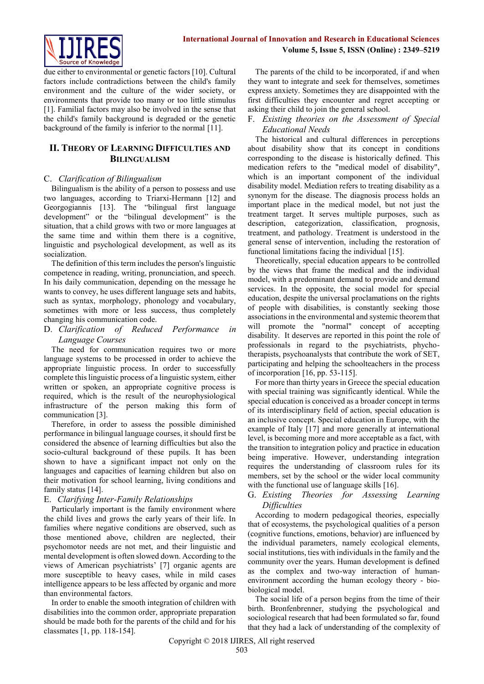

due either to environmental or genetic factors [10]. Cultural factors include contradictions between the child's family environment and the culture of the wider society, or environments that provide too many or too little stimulus [1]. Familial factors may also be involved in the sense that the child's family background is degraded or the genetic background of the family is inferior to the normal [11].

# **II. THEORY OF LEARNING DIFFICULTIES AND BILINGUALISM**

## C. *Clarification of Bilingualism*

Bilingualism is the ability of a person to possess and use two languages, according to Triarxi-Hermann [12] and Georgogiannis [13]. The "bilingual first language development" or the "bilingual development" is the situation, that a child grows with two or more languages at the same time and within them there is a cognitive, linguistic and psychological development, as well as its socialization.

The definition of this term includes the person's linguistic competence in reading, writing, pronunciation, and speech. In his daily communication, depending on the message he wants to convey, he uses different language sets and habits, such as syntax, morphology, phonology and vocabulary, sometimes with more or less success, thus completely changing his communication code.

D. *Clarification of Reduced Performance in Language Courses*

The need for communication requires two or more language systems to be processed in order to achieve the appropriate linguistic process. In order to successfully complete this linguistic process of a linguistic system, either written or spoken, an appropriate cognitive process is required, which is the result of the neurophysiological infrastructure of the person making this form of communication [3].

Therefore, in order to assess the possible diminished performance in bilingual language courses, it should first be considered the absence of learning difficulties but also the socio-cultural background of these pupils. It has been shown to have a significant impact not only on the languages and capacities of learning children but also on their motivation for school learning, living conditions and family status [14].

# E. *Clarifying Inter-Family Relationships*

Particularly important is the family environment where the child lives and grows the early years of their life. In families where negative conditions are observed, such as those mentioned above, children are neglected, their psychomotor needs are not met, and their linguistic and mental development is often slowed down. According to the views of American psychiatrists' [7] organic agents are more susceptible to heavy cases, while in mild cases intelligence appears to be less affected by organic and more than environmental factors.

In order to enable the smooth integration of children with disabilities into the common order, appropriate preparation should be made both for the parents of the child and for his classmates [1, pp. 118-154].

The parents of the child to be incorporated, if and when they want to integrate and seek for themselves, sometimes express anxiety. Sometimes they are disappointed with the first difficulties they encounter and regret accepting or asking their child to join the general school.

## F. *Existing theories on the Assessment of Special Educational Needs*

The historical and cultural differences in perceptions about disability show that its concept in conditions corresponding to the disease is historically defined. This medication refers to the "medical model of disability", which is an important component of the individual disability model. Mediation refers to treating disability as a synonym for the disease. The diagnosis process holds an important place in the medical model, but not just the treatment target. It serves multiple purposes, such as description, categorization, classification, prognosis, treatment, and pathology. Treatment is understood in the general sense of intervention, including the restoration of functional limitations facing the individual [15].

Theoretically, special education appears to be controlled by the views that frame the medical and the individual model, with a predominant demand to provide and demand services. In the opposite, the social model for special education, despite the universal proclamations on the rights of people with disabilities, is constantly seeking those associations in the environmental and systemic theorem that will promote the "normal" concept of accepting disability. It deserves are reported in this point the role of professionals in regard to the psychiatrists, phychotherapists, psychoanalysts that contribute the work of SET, participating and helping the schoolteachers in the process of incorporation  $[16, pp. 53-115]$ .

For more than thirty years in Greece the special education with special training was significantly identical. While the special education is conceived as a broader concept in terms of its interdisciplinary field of action, special education is an inclusive concept. Special education in Europe, with the example of Italy [17] and more generally at international level, is becoming more and more acceptable as a fact, with the transition to integration policy and practice in education being imperative. However, understanding integration requires the understanding of classroom rules for its members, set by the school or the wider local community with the functional use of language skills [16].

G. *Existing Theories for Assessing Learning Difficulties* 

According to modern pedagogical theories, especially that of ecosystems, the psychological qualities of a person (cognitive functions, emotions, behavior) are influenced by the individual parameters, namely ecological elements, social institutions, ties with individuals in the family and the community over the years. Human development is defined as the complex and two-way interaction of humanenvironment according the human ecology theory - biobiological model.

The social life of a person begins from the time of their birth. Bronfenbrenner, studying the psychological and sociological research that had been formulated so far, found that they had a lack of understanding of the complexity of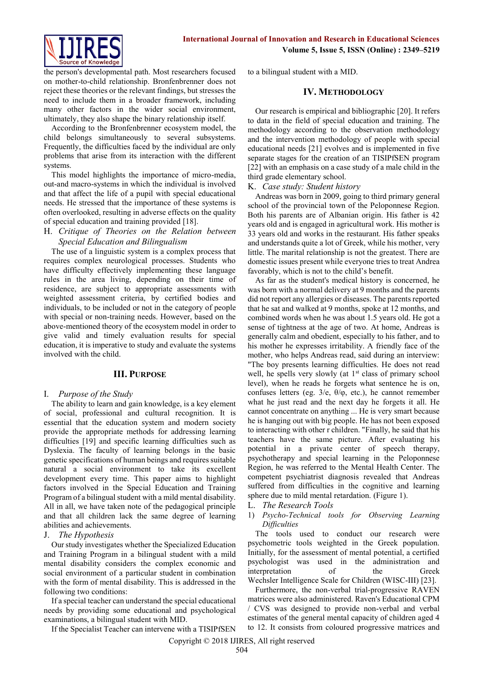

the person's developmental path. Most researchers focused on mother-to-child relationship. Bronfenbrenner does not reject these theories or the relevant findings, but stresses the need to include them in a broader framework, including many other factors in the wider social environment, ultimately, they also shape the binary relationship itself.

According to the Bronfenbrenner ecosystem model, the child belongs simultaneously to several subsystems. Frequently, the difficulties faced by the individual are only problems that arise from its interaction with the different systems.

This model highlights the importance of micro-media, out-and macro-systems in which the individual is involved and that affect the life of a pupil with special educational needs. He stressed that the importance of these systems is often overlooked, resulting in adverse effects on the quality of special education and training provided [18].

#### H. *Critique of Theories on the Relation between Special Education and Bilingualism*

The use of a linguistic system is a complex process that requires complex neurological processes. Students who have difficulty effectively implementing these language rules in the area living, depending on their time of residence, are subject to appropriate assessments with weighted assessment criteria, by certified bodies and individuals, to be included or not in the category of people with special or non-training needs. However, based on the above-mentioned theory of the ecosystem model in order to give valid and timely evaluation results for special education, it is imperative to study and evaluate the systems involved with the child.

# **III. PURPOSE**

## I. *Purpose of the Study*

The ability to learn and gain knowledge, is a key element of social, professional and cultural recognition. It is essential that the education system and modern society provide the appropriate methods for addressing learning difficulties [19] and specific learning difficulties such as Dyslexia. The faculty of learning belongs in the basic genetic specifications of human beings and requires suitable natural a social environment to take its excellent development every time. This paper aims to highlight factors involved in the Special Education and Training Program of a bilingual student with a mild mental disability. All in all, we have taken note of the pedagogical principle and that all children lack the same degree of learning abilities and achievements.

## J. *The Hypothesis*

Our study investigates whether the Specialized Education and Training Program in a bilingual student with a mild mental disability considers the complex economic and social environment of a particular student in combination with the form of mental disability. This is addressed in the following two conditions:

If a special teacher can understand the special educational needs by providing some educational and psychological examinations, a bilingual student with MID.

If the Specialist Teacher can intervene with a TISIPfSEN

to a bilingual student with a MID.

## **IV. METHODOLOGY**

Our research is empirical and bibliographic [20]. It refers to data in the field of special education and training. The methodology according to the observation methodology and the intervention methodology of people with special educational needs [21] evolves and is implemented in five separate stages for the creation of an TISIPfSEN program [22] with an emphasis on a case study of a male child in the third grade elementary school.

## K. *Case study: Student history*

Andreas was born in 2009, going to third primary general school of the provincial town of the Peloponnese Region. Both his parents are of Albanian origin. His father is 42 years old and is engaged in agricultural work. His mother is 33 years old and works in the restaurant. His father speaks and understands quite a lot of Greek, while his mother, very little. The marital relationship is not the greatest. There are domestic issues present while everyone tries to treat Andrea favorably, which is not to the child's benefit.

As far as the student's medical history is concerned, he was born with a normal delivery at 9 months and the parents did not report any allergies or diseases. The parents reported that he sat and walked at 9 months, spoke at 12 months, and combined words when he was about 1.5 years old. He got a sense of tightness at the age of two. At home, Andreas is generally calm and obedient, especially to his father, and to his mother he expresses irritability. A friendly face of the mother, who helps Andreas read, said during an interview: "The boy presents learning difficulties. He does not read well, he spells very slowly (at 1<sup>st</sup> class of primary school level), when he reads he forgets what sentence he is on, confuses letters (eg. 3/e, θ/φ, etc.), he cannot remember what he just read and the next day he forgets it all. He cannot concentrate on anything ... He is very smart because he is hanging out with big people. He has not been exposed to interacting with other r children. "Finally, he said that his teachers have the same picture. After evaluating his potential in a private center of speech therapy, psychotherapy and special learning in the Peloponnese Region, he was referred to the Mental Health Center. The competent psychiatrist diagnosis revealed that Andreas suffered from difficulties in the cognitive and learning sphere due to mild mental retardation. (Figure 1).

- L. *The Research Tools*
- 1) *Psycho-Technical tools for Observing Learning Difficulties*

The tools used to conduct our research were psychometric tools weighted in the Greek population. Initially, for the assessment of mental potential, a certified psychologist was used in the administration and interpretation of the Greek Wechsler Intelligence Scale for Children (WISC-III) [23].

Furthermore, the non-verbal trial-progressive RAVEN matrices were also administered. Raven's Educational CPM / CVS was designed to provide non-verbal and verbal estimates of the general mental capacity of children aged 4 to 12. It consists from coloured progressive matrices and

Copyright © 2018 IJIRES, All right reserved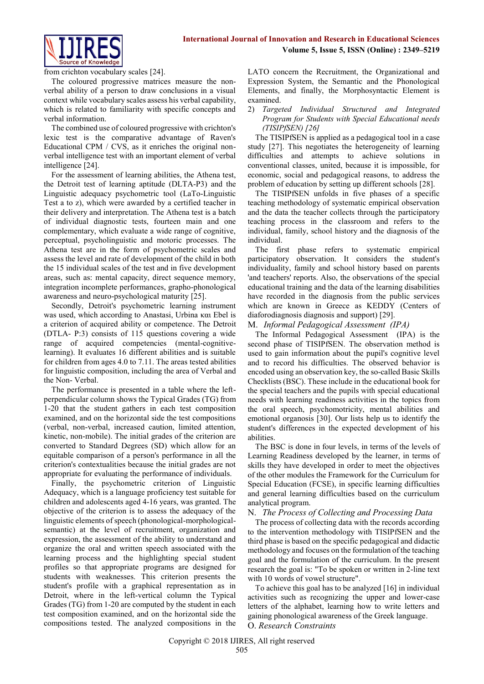

from crichton vocabulary scales [24].

The coloured progressive matrices measure the nonverbal ability of a person to draw conclusions in a visual context while vocabulary scales assess his verbal capability, which is related to familiarity with specific concepts and verbal information.

The combined use of coloured progressive with crichton's lexic test is the comparative advantage of Raven's Educational CPM / CVS, as it enriches the original nonverbal intelligence test with an important element of verbal intelligence [24].

For the assessment of learning abilities, the Athena test, the Detroit test of learning aptitude (DLTA-P3) and the Linguistic adequacy psychometric tool (LaTo-Linguistic Test a to z), which were awarded by a certified teacher in their delivery and interpretation. The Athena test is a batch of individual diagnostic tests, fourteen main and one complementary, which evaluate a wide range of cognitive, perceptual, psycholinguistic and motoric processes. The Athena test are in the form of psychometric scales and assess the level and rate of development of the child in both the 15 individual scales of the test and in five development areas, such as: mental capacity, direct sequence memory, integration incomplete performances, grapho-phonological awareness and neuro-psychological maturity [25].

Secondly, Detroit's psychometric learning instrument was used, which according to Anastasi, Urbina και Ebel is a criterion of acquired ability or competence. The Detroit (DTLA- P:3) consists of 115 questions covering a wide range of acquired competencies (mental-cognitivelearning). It evaluates 16 different abilities and is suitable for children from ages 4.0 to 7.11. The areas tested abilities for linguistic composition, including the area of Verbal and the Non- Verbal.

The performance is presented in a table where the leftperpendicular column shows the Typical Grades (TG) from 1-20 that the student gathers in each test composition examined, and on the horizontal side the test compositions (verbal, non-verbal, increased caution, limited attention, kinetic, non-mobile). The initial grades of the criterion are converted to Standard Degrees (SD) which allow for an equitable comparison of a person's performance in all the criterion's contextualities because the initial grades are not appropriate for evaluating the performance of individuals.

Finally, the psychometric criterion of Linguistic Adequacy, which is a language proficiency test suitable for children and adolescents aged 4-16 years, was granted. The objective of the criterion is to assess the adequacy of the linguistic elements of speech (phonological-morphologicalsemantic) at the level of recruitment, organization and expression, the assessment of the ability to understand and organize the oral and written speech associated with the learning process and the highlighting special student profiles so that appropriate programs are designed for students with weaknesses. This criterion presents the student's profile with a graphical representation as in Detroit, where in the left-vertical column the Typical Grades (TG) from 1-20 are computed by the student in each test composition examined, and on the horizontal side the compositions tested. The analyzed compositions in the LATO concern the Recruitment, the Organizational and Expression System, the Semantic and the Phonological Elements, and finally, the Morphosyntactic Element is examined.

### 2) *Targeted Individual Structured and Integrated Program for Students with Special Educational needs (TISIPfSEN) [26]*

The TISIPfSEN is applied as a pedagogical tool in a case study [27]. This negotiates the heterogeneity of learning difficulties and attempts to achieve solutions in conventional classes, united, because it is impossible, for economic, social and pedagogical reasons, to address the problem of education by setting up different schools [28].

The TISIPfSEN unfolds in five phases of a specific teaching methodology of systematic empirical observation and the data the teacher collects through the participatory teaching process in the classroom and refers to the individual, family, school history and the diagnosis of the individual.

The first phase refers to systematic empirical participatory observation. It considers the student's individuality, family and school history based on parents 'and teachers' reports. Also, the observations of the special educational training and the data of the learning disabilities have recorded in the diagnosis from the public services which are known in Greece as KEDDY (Centers of diaforodiagnosis diagnosis and support) [29].

# M. *Informal Pedagogical Assessment (IPA)*

The Informal Pedagogical Assessment (IPA) is the second phase of TISIPfSEN. The observation method is used to gain information about the pupil's cognitive level and to record his difficulties. The observed behavior is encoded using an observation key, the so-called Basic Skills Checklists (BSC). These include in the educational book for the special teachers and the pupils with special educational needs with learning readiness activities in the topics from the oral speech, psychomotricity, mental abilities and emotional organosis [30]. Our lists help us to identify the student's differences in the expected development of his abilities.

The BSC is done in four levels, in terms of the levels of Learning Readiness developed by the learner, in terms of skills they have developed in order to meet the objectives of the other modules the Framework for the Curriculum for Special Education (FCSE), in specific learning difficulties and general learning difficulties based on the curriculum analytical program.

# N. *The Process of Collecting and Processing Data*

The process of collecting data with the records according to the intervention methodology with TISIPfSEN and the third phase is based on the specific pedagogical and didactic methodology and focuses on the formulation of the teaching goal and the formulation of the curriculum. In the present research the goal is: "To be spoken or written in 2-line text with 10 words of vowel structure".

To achieve this goal has to be analyzed [16] in individual activities such as recognizing the upper and lower-case letters of the alphabet, learning how to write letters and gaining phonological awareness of the Greek language. O. *Research Constraints*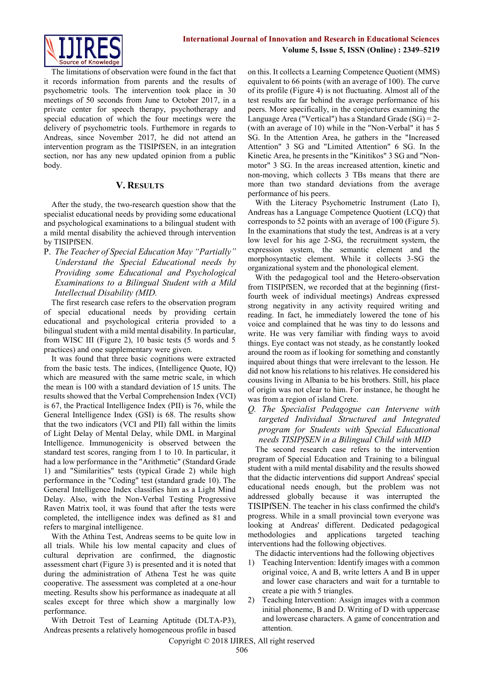

The limitations of observation were found in the fact that it records information from parents and the results of psychometric tools. The intervention took place in 30 meetings of 50 seconds from June to October 2017, in a private center for speech therapy, psychotherapy and special education of which the four meetings were the delivery of psychometric tools. Furthemore in regards to Andreas, since November 2017, he did not attend an intervention program as the TISIPfSEN, in an integration section, nor has any new updated opinion from a public body.

## **V. RESULTS**

After the study, the two-research question show that the specialist educational needs by providing some educational and psychological examinations to a bilingual student with a mild mental disability the achieved through intervention by TISIPfSEN.

P. *The Teacher of Special Education May "Partially" Understand the Special Educational needs by Providing some Educational and Psychological Examinations to a Bilingual Student with a Mild Intellectual Disability (MID.*

The first research case refers to the observation program of special educational needs by providing certain educational and psychological criteria provided to a bilingual student with a mild mental disability. In particular, from WISC III (Figure 2), 10 basic tests (5 words and 5 practices) and one supplementary were given.

It was found that three basic cognitions were extracted from the basic tests. The indices, (Intelligence Quote, IQ) which are measured with the same metric scale, in which the mean is 100 with a standard deviation of 15 units. The results showed that the Verbal Comprehension Index (VCI) is 67, the Practical Intelligence Index (PII) is 76, while the General Intelligence Index (GSI) is 68. The results show that the two indicators (VCI and PII) fall within the limits of Light Delay of Mental Delay, while DML in Marginal Intelligence. Immunogenicity is observed between the standard test scores, ranging from 1 to 10. In particular, it had a low performance in the "Arithmetic" (Standard Grade 1) and "Similarities" tests (typical Grade 2) while high performance in the "Coding" test (standard grade 10). The General Intelligence Index classifies him as a Light Mind Delay. Also, with the Non-Verbal Testing Progressive Raven Matrix tool, it was found that after the tests were completed, the intelligence index was defined as 81 and refers to marginal intelligence.

With the Athina Test, Andreas seems to be quite low in all trials. While his low mental capacity and clues of cultural deprivation are confirmed, the diagnostic assessment chart (Figure 3) is presented and it is noted that during the administration of Athena Test he was quite cooperative. The assessment was completed at a one-hour meeting. Results show his performance as inadequate at all scales except for three which show a marginally low performance.

With Detroit Test of Learning Aptitude (DLTA-P3), Andreas presents a relatively homogeneous profile in based

on this. It collects a Learning Competence Quotient (MMS) equivalent to 66 points (with an average of 100). The curve of its profile (Figure 4) is not fluctuating. Almost all of the test results are far behind the average performance of his peers. More specifically, in the conjectures examining the Language Area ("Vertical") has a Standard Grade (SG) = 2- (with an average of 10) while in the "Non-Verbal" it has 5 SG. In the Attention Area, he gathers in the "Increased Attention" 3 SG and "Limited Attention" 6 SG. In the Kinetic Area, he presents in the "Kinitikos" 3 SG and "Nonmotor" 3 SG. In the areas increased attention, kinetic and non-moving, which collects 3 TBs means that there are more than two standard deviations from the average performance of his peers.

With the Literacy Psychometric Instrument (Lato I), Andreas has a Language Competence Quotient (LCQ) that corresponds to 52 points with an average of 100 (Figure 5). In the examinations that study the test, Andreas is at a very low level for his age 2-SG, the recruitment system, the expression system, the semantic element and the morphosyntactic element. While it collects 3-SG the organizational system and the phonological element.

With the pedagogical tool and the Hetero-observation from TISIPfSEN, we recorded that at the beginning (firstfourth week of individual meetings) Andreas expressed strong negativity in any activity required writing and reading. In fact, he immediately lowered the tone of his voice and complained that he was tiny to do lessons and write. He was very familiar with finding ways to avoid things. Eye contact was not steady, as he constantly looked around the room as if looking for something and constantly inquired about things that were irrelevant to the lesson. He did not know his relations to his relatives. He considered his cousins living in Albania to be his brothers. Still, his place of origin was not clear to him. For instance, he thought he was from a region of island Crete.

*Q. The Specialist Pedagogue can Intervene with targeted Individual Structured and Integrated program for Students with Special Educational needs TISIPfSEN in a Bilingual Child with MID*

The second research case refers to the intervention program of Special Education and Training to a bilingual student with a mild mental disability and the results showed that the didactic interventions did support Andreas' special educational needs enough, but the problem was not addressed globally because it was interrupted the TISIPfSEN. The teacher in his class confirmed the child's progress. While in a small provincial town everyone was looking at Andreas' different. Dedicated pedagogical methodologies and applications targeted teaching interventions had the following objectives.

The didactic interventions had the following objectives

- 1) Teaching Intervention: Identify images with a common original voice, A and B, write letters A and B in upper and lower case characters and wait for a turntable to create a pie with 5 triangles.
- 2) Teaching Intervention: Assign images with a common initial phoneme, B and D. Writing of D with uppercase and lowercase characters. A game of concentration and attention.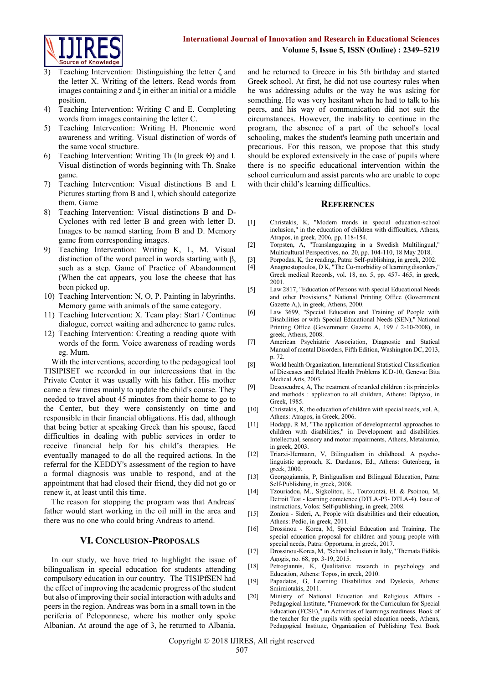

- Teaching Intervention: Distinguishing the letter  $\zeta$  and the letter X. Writing of the letters. Read words from images containing z and  $\xi$  in either an initial or a middle position.
- 4) Teaching Intervention: Writing C and E. Completing words from images containing the letter C.
- 5) Teaching Intervention: Writing H. Phonemic word awareness and writing. Visual distinction of words of the same vocal structure.
- 6) Teaching Intervention: Writing Th (In greek Θ) and I. Visual distinction of words beginning with Th. Snake game.
- 7) Teaching Intervention: Visual distinctions B and I. Pictures starting from B and I, which should categorize them. Game
- 8) Teaching Intervention: Visual distinctions B and D-Cyclones with red letter B and green with letter D. Images to be named starting from B and D. Memory game from corresponding images.
- 9) Teaching Intervention: Writing K, L, M. Visual distinction of the word parcel in words starting with β, such as a step. Game of Practice of Abandonment (When the cat appears, you lose the cheese that has been picked up.
- 10) Teaching Intervention: N, O, P. Painting in labyrinths. Memory game with animals of the same category.
- 11) Teaching Intervention: X. Team play: Start / Continue dialogue, correct waiting and adherence to game rules.
- 12) Teaching Intervention: Creating a reading quote with words of the form. Voice awareness of reading words eg. Mum.

With the interventions, according to the pedagogical tool TISIPISET we recorded in our intercessions that in the Private Center it was usually with his father. His mother came a few times mainly to update the child's course. They needed to travel about 45 minutes from their home to go to the Center, but they were consistently on time and responsible in their financial obligations. His dad, although that being better at speaking Greek than his spouse, faced difficulties in dealing with public services in order to receive financial help for his child's therapies. He eventually managed to do all the required actions. In the referral for the KEDDY's assessment of the region to have a formal diagnosis was unable to respond, and at the appointment that had closed their friend, they did not go or renew it, at least until this time.

The reason for stopping the program was that Andreas' father would start working in the oil mill in the area and there was no one who could bring Andreas to attend.

## **VI. CONCLUSION-PROPOSALS**

In our study, we have tried to highlight the issue of bilingualism in special education for students attending compulsory education in our country. The TISIPfSEN had the effect of improving the academic progress of the student but also of improving their social interaction with adults and peers in the region. Andreas was born in a small town in the periferia of Peloponnese, where his mother only spoke Albanian. At around the age of 3, he returned to Albania,

and he returned to Greece in his 5th birthday and started Greek school. At first, he did not use courtesy rules when he was addressing adults or the way he was asking for something. He was very hesitant when he had to talk to his peers, and his way of communication did not suit the circumstances. However, the inability to continue in the program, the absence of a part of the school's local schooling, makes the student's learning path uncertain and precarious. For this reason, we propose that this study should be explored extensively in the case of pupils where there is no specific educational intervention within the school curriculum and assist parents who are unable to cope with their child's learning difficulties.

#### **REFERENCES**

- [1] Christakis, K, "Modern trends in special education-school inclusion," in the education of children with difficulties, Athens, Atrapos, in greek, 2006, pp. 118-154.
- [2] Torpsten, A, "Translanguaging in a Swedish Multilingual," Multicultural Perspectives, no. 20, pp. 104-110, 18 May 2018.
- [3] Porpodas, K, the reading, Patra: Self-publishing, in greek, 2002.<br>[4] Anagnostopoulos, D K, "The Co-morbidity of learning disorders
- Anagnostopoulos, D K, "The Co-morbidity of learning disorders," Greek medical Records, vol. 18, no. 5, pp. 457- 465, in greek, 2001.
- [5] Law 2817, "Education of Persons with special Educational Needs and other Provisions," National Printing Office (Government Gazette A,), in greek, Athens, 2000.
- [6] Law 3699, "Special Education and Training of People with Disabilities or with Special Educational Needs (SEN)," National Printing Office (Government Gazette A, 199 / 2-10-2008), in greek, Athens, 2008.
- [7] American Psychiatric Association, Diagnostic and Statical Manual of mental Disorders, Fifth Edition, Washington DC, 2013, p. 72.
- [8] World health Organization, International Statistical Classification of Dieseases and Related Health Problems ICD-10, Geneva: Bita Medical Arts, 2003.
- [9] Descoeudres, A, The treatment of retarded children : its principles and methods : application to all children, Athens: Diptyxo, in Greek, 1985.
- [10] Christakis, K, the education of children with special needs, vol. A, Athens: Atrapos, in Greek, 2006.
- [11] Hodapp, R M, "The application of developmental approaches to children with disabilities," in Development and disabilities. Intellectual, sensory and motor impairments, Athens, Metaixmio, in greek, 2003.
- [12] Triarxi-Hermann, V, Bilingualism in childhood. A psycholinguistic approach, K. Dardanos, Ed., Athens: Gutenberg, in greek, 2000.
- [13] Georgogiannis, P, Binligualism and Bilingual Education, Patra: Self-Publishing, in greek, 2008.
- [14] Tzouriadou, M., Sigkolitou, E., Toutountzi, El. & Psoinou, M, Detroit Test - learning cometence (DTLA-P3- DTLA-4). Issue of instructions, Volos: Self-publishing, in greek, 2008.
- [15] Zoniou Sideri, A, People with disabilities and their education, Athens: Pedio, in greek, 2011.
- [16] Drossinou Korea, M, Special Education and Training. The special education proposal for children and young people with special needs, Patra: Opportuna, in greek, 2017.
- [17] Drossinou-Korea, M, "School Inclusion in Italy," Themata Eidikis Agogis, no. 68, pp. 3-19, 2015.
- [18] Petrogiannis, K, Qualitative research in psychology and Education, Athens: Topos, in greek, 2010.
- [19] Papadatos, G, Learning Disabilities and Dyslexia, Athens: Smirniotakis, 2011.
- [20] Ministry of National Education and Religious Affairs Pedagogical Institute, "Framework for the Curriculum for Special Education (FCSE)," in Activities of learnings readiness. Book of the teacher for the pupils with special education needs, Athens, Pedagogical Institute, Organization of Publishing Text Book